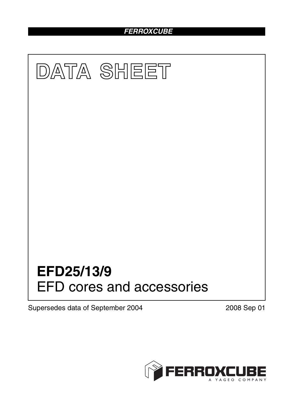# *FERROXCUBE*



Supersedes data of September 2004 2008 Sep 01

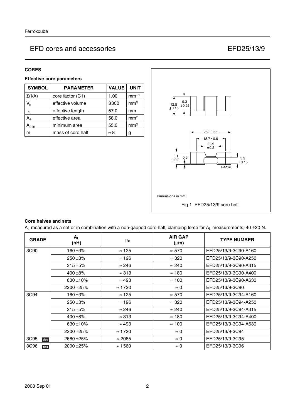### **CORES**

## **Effective core parameters**

| <b>SYMBOL</b> | <b>PARAMETER</b>  | <b>VALUE</b> | <b>UNIT</b>     |
|---------------|-------------------|--------------|-----------------|
| $\Sigma(I/A)$ | core factor (C1)  | 1.00         | $mm-1$          |
| $V_{e}$       | effective volume  | 3300         | mm <sup>3</sup> |
| $I_e$         | effective length  | 57.0         | mm              |
| $A_{\rm e}$   | effective area    | 58.0         | mm <sup>2</sup> |
| min           | minimum area      | 55.0         | mm <sup>2</sup> |
| m             | mass of core half | $\approx 8$  | g               |



### **Core halves and sets**

 $A_L$  measured as a set or in combination with a non-gapped core half, clamping force for  $A_L$  measurements, 40 ±20 N.

| <b>GRADE</b> | $A_L$<br>(nH) | μ <sub>e</sub> | <b>AIR GAP</b><br>$(\mu m)$ | <b>TYPE NUMBER</b>   |
|--------------|---------------|----------------|-----------------------------|----------------------|
| 3C90         | 160 ±3%       | $\approx$ 125  | $\approx 570$               | EFD25/13/9-3C90-A160 |
|              | $250 + 3%$    | $\approx$ 196  | $\approx 320$               | EFD25/13/9-3C90-A250 |
|              | $315 + 5%$    | $\approx$ 246  | $\approx 240$               | EFD25/13/9-3C90-A315 |
|              | 400 $\pm$ 8%  | $\approx$ 313  | $\approx$ 180               | EFD25/13/9-3C90-A400 |
|              | 630 $\pm$ 10% | $\approx 493$  | $\approx$ 100               | EFD25/13/9-3C90-A630 |
|              | 2200 ± 25%    | $\approx$ 1720 | $\approx 0$                 | EFD25/13/9-3C90      |
| 3C94         | 160 ±3%       | $\approx$ 125  | $\approx 570$               | EFD25/13/9-3C94-A160 |
|              | $250 + 3%$    | $\approx 196$  | $\approx 320$               | EFD25/13/9-3C94-A250 |
|              | $315 + 5%$    | $\approx$ 246  | $\approx 240$               | EFD25/13/9-3C94-A315 |
|              | 400 $\pm$ 8%  | $\approx$ 313  | $\approx$ 180               | EFD25/13/9-3C94-A400 |
|              | 630 $\pm$ 10% | $\approx 493$  | $\approx$ 100               | EFD25/13/9-3C94-A630 |
|              | 2200 ± 25%    | $\approx$ 1720 | $\approx 0$                 | EFD25/13/9-3C94      |
| 3C95<br>des  | 2660 ± 25%    | $\approx 2085$ | $\approx 0$                 | EFD25/13/9-3C95      |
| 3C96<br>des  | 2000 ± 25%    | $\approx$ 1560 | $\approx 0$                 | EFD25/13/9-3C96      |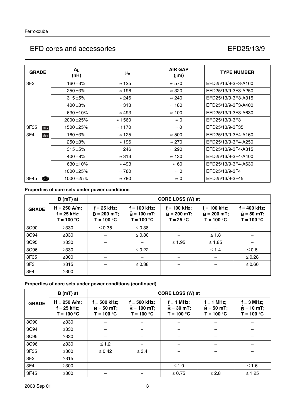| <b>GRADE</b> | $A_{L}$<br>(nH) | $\mu_{\bf e}$  | <b>AIR GAP</b><br>$(\mu m)$ | <b>TYPE NUMBER</b>  |
|--------------|-----------------|----------------|-----------------------------|---------------------|
| 3F3          | 160 ±3%         | $\approx$ 125  | $\approx 570$               | EFD25/13/9-3F3-A160 |
|              | $250 + 3%$      | $\approx$ 196  | $\approx 320$               | EFD25/13/9-3F3-A250 |
|              | $315 + 5%$      | $\approx$ 246  | $\approx 240$               | EFD25/13/9-3F3-A315 |
|              | 400 $\pm$ 8%    | $\approx$ 313  | $\approx$ 180               | EFD25/13/9-3F3-A400 |
|              | 630 $\pm$ 10%   | $\approx 493$  | $\approx$ 100               | EFD25/13/9-3F3-A630 |
|              | 2000 ± 25%      | $\approx$ 1560 | $\approx 0$                 | EFD25/13/9-3F3      |
| 3F35<br>des  | 1500 ±25%       | $\approx$ 1170 | $\approx 0$                 | EFD25/13/9-3F35     |
| 3F4<br>des   | 160 ±3%         | $\approx$ 125  | $\approx 500$               | EFD25/13/9-3F4-A160 |
|              | $250 + 3%$      | $\approx$ 196  | $\approx 270$               | EFD25/13/9-3F4-A250 |
|              | $315 + 5%$      | $\approx$ 246  | $\approx 290$               | EFD25/13/9-3F4-A315 |
|              | 400 $\pm$ 8%    | $\approx$ 313  | $\approx$ 130               | EFD25/13/9-3F4-A400 |
|              | 630 $\pm$ 10%   | $\approx 493$  | $\approx 60$                | EFD25/13/9-3F4-A630 |
|              | 1000 ±25%       | $\approx 780$  | $\approx 0$                 | EFD25/13/9-3F4      |
| 3F45<br>@    | 1000 ±25%       | $\approx 780$  | $\approx 0$                 | EFD25/13/9-3F45     |

## **Properties of core sets under power conditions**

|                 | $B(mT)$ at                                      |                                                | CORE LOSS (W) at                                |                                                |                                                 |                                                        |  |  |
|-----------------|-------------------------------------------------|------------------------------------------------|-------------------------------------------------|------------------------------------------------|-------------------------------------------------|--------------------------------------------------------|--|--|
| <b>GRADE</b>    | $H = 250$ A/m;<br>$f = 25$ kHz;<br>$T = 100 °C$ | $f = 25$ kHz;<br>$B = 200$ mT;<br>$T = 100 °C$ | $f = 100$ kHz;<br>$B = 100$ mT;<br>$T = 100 °C$ | $f = 100$ kHz;<br>$B = 200$ mT;<br>$T = 25 °C$ | $f = 100$ kHz;<br>$B = 200$ mT;<br>$T = 100 °C$ | $f = 400$ kHz;<br>$B = 50$ mT;<br>T = 100 $^{\circ}$ C |  |  |
| 3C90            | $\geq 330$                                      | $\leq 0.35$                                    | $\leq 0.38$                                     |                                                |                                                 |                                                        |  |  |
| 3C94            | $\geq 330$                                      |                                                | $\leq 0.30$                                     |                                                | $≤ 1.8$                                         |                                                        |  |  |
| 3C95            | $\geq 330$                                      |                                                |                                                 | $≤ 1.95$                                       | $≤ 1.85$                                        |                                                        |  |  |
| 3C96            | $\geq 330$                                      |                                                | $\leq 0.22$                                     |                                                | $\leq 1.4$                                      | $\leq 0.6$                                             |  |  |
| 3F35            | $\geq 300$                                      |                                                |                                                 |                                                |                                                 | $\leq 0.28$                                            |  |  |
| 3F <sub>3</sub> | $\geq 315$                                      |                                                | $\leq 0.38$                                     |                                                |                                                 | $\leq 0.66$                                            |  |  |
| 3F4             | $\geq 300$                                      |                                                |                                                 |                                                |                                                 |                                                        |  |  |

## **Properties of core sets under power conditions (continued)**

|                 | $B(mT)$ at                                      |                                               | CORE LOSS (W) at                                |                                              |                                               |                                                      |  |  |  |
|-----------------|-------------------------------------------------|-----------------------------------------------|-------------------------------------------------|----------------------------------------------|-----------------------------------------------|------------------------------------------------------|--|--|--|
| <b>GRADE</b>    | $H = 250$ A/m;<br>$f = 25$ kHz;<br>$T = 100 °C$ | f = 500 kHz;<br>$B = 50 mT$ ;<br>$T = 100 °C$ | $f = 500$ kHz;<br>$B = 100$ mT:<br>$T = 100 °C$ | $f = 1$ MHz;<br>$B = 30$ mT;<br>$T = 100 °C$ | $f = 1$ MHz;<br>$B = 50 mT$ ;<br>$T = 100 °C$ | $f = 3 MHz$ ;<br>$\ddot{B}$ = 10 mT;<br>$T = 100 °C$ |  |  |  |
| 3C90            | $\geq$ 330                                      |                                               |                                                 |                                              |                                               |                                                      |  |  |  |
| 3C94            | $\geq$ 330                                      |                                               |                                                 |                                              |                                               |                                                      |  |  |  |
| 3C95            | $\geq$ 330                                      |                                               |                                                 |                                              |                                               |                                                      |  |  |  |
| 3C96            | $\geq$ 330                                      | $\leq 1.2$                                    |                                                 |                                              |                                               |                                                      |  |  |  |
| 3F35            | $\geq$ 300                                      | $\leq 0.42$                                   | $\leq$ 3.4                                      |                                              |                                               |                                                      |  |  |  |
| 3F <sub>3</sub> | $\geq 315$                                      |                                               |                                                 |                                              |                                               |                                                      |  |  |  |
| 3F4             | $\geq 300$                                      |                                               |                                                 | $≤ 1.0$                                      |                                               | $≤ 1.6$                                              |  |  |  |
| 3F45            | $\geq 300$                                      |                                               |                                                 | $\leq 0.75$                                  | $≤ 2.8$                                       | $\leq 1.25$                                          |  |  |  |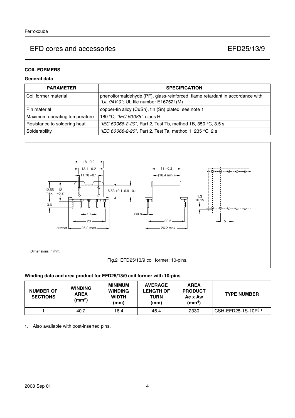### **COIL FORMERS**

## **General data**

| <b>PARAMETER</b>              | <b>SPECIFICATION</b>                                                                                                   |
|-------------------------------|------------------------------------------------------------------------------------------------------------------------|
| Coil former material          | phenolformaldehyde (PF), glass-reinforced, flame retardant in accordance with<br>"UL 94V-0"; UL file number E167521(M) |
| Pin material                  | copper-tin alloy (CuSn), tin (Sn) plated, see note 1                                                                   |
| Maximum operating temperature | 180 °C, "IEC 60085", class H                                                                                           |
| Resistance to soldering heat  | "IEC 60068-2-20", Part 2, Test Tb, method 1B, 350 °C, 3.5 s                                                            |
| Solderability                 | "IEC 60068-2-20", Part 2, Test Ta, method 1: 235 °C, 2 s                                                               |



#### **Winding data and area product for EFD25/13/9 coil former with 10-pins**

| <b>NUMBER OF</b><br><b>SECTIONS</b> | <b>WINDING</b><br><b>AREA</b><br>(mm $^2$ ) | MINIMUM<br><b>WINDING</b><br><b>WIDTH</b><br>(mm) | <b>AVERAGE</b><br><b>LENGTH OF</b><br>TURN<br>(mm) | <b>AREA</b><br><b>PRODUCT</b><br>Ae x Aw<br>(mm <sup>4</sup> ) | <b>TYPE NUMBER</b>  |
|-------------------------------------|---------------------------------------------|---------------------------------------------------|----------------------------------------------------|----------------------------------------------------------------|---------------------|
|                                     | 40.2                                        | 16.4                                              | 46.4                                               | 2330                                                           | CSH-EFD25-1S-10P(1) |

1. Also available with post-inserted pins.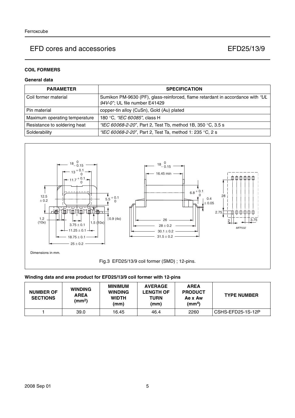## **COIL FORMERS**

## **General data**

| <b>PARAMETER</b>              | <b>SPECIFICATION</b>                                                                                            |
|-------------------------------|-----------------------------------------------------------------------------------------------------------------|
| l Coil former material        | Sumikon PM-9630 (PF), glass-reinforced, flame retardant in accordance with "UL<br>94V-0"; UL file number E41429 |
| l Pin material                | copper-tin alloy (CuSn), Gold (Au) plated                                                                       |
| Maximum operating temperature | 180 °C, "IEC 60085", class H                                                                                    |
| Resistance to soldering heat  | "IEC 60068-2-20", Part 2, Test Tb, method 1B, 350 °C, 3.5 s                                                     |
| Solderability                 | "IEC 60068-2-20", Part 2, Test Ta, method 1: 235 °C, 2 s                                                        |



## **Winding data and area product for EFD25/13/9 coil former with 12-pins**

| <b>NUMBER OF</b><br><b>SECTIONS</b> | <b>WINDING</b><br><b>AREA</b><br>(mm <sup>2</sup> ) | <b>MINIMUM</b><br><b>WINDING</b><br><b>WIDTH</b><br>(mm) | <b>AVERAGE</b><br><b>LENGTH OF</b><br>TURN<br>(mm) | <b>AREA</b><br><b>PRODUCT</b><br>Ae x Aw<br>(mm <sup>4</sup> ) | <b>TYPE NUMBER</b> |
|-------------------------------------|-----------------------------------------------------|----------------------------------------------------------|----------------------------------------------------|----------------------------------------------------------------|--------------------|
|                                     | 39.0                                                | 16.45                                                    | 46.4                                               | 2260                                                           | CSHS-EFD25-1S-12P  |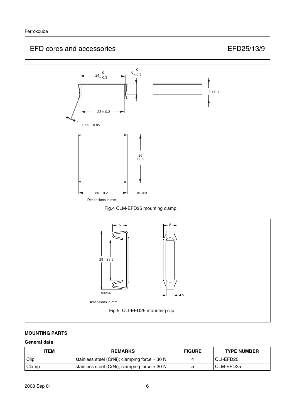

## **MOUNTING PARTS**

### **General data**

| ITEM        | <b>REMARKS</b>                                        |  | <b>TYPE NUMBER</b> |
|-------------|-------------------------------------------------------|--|--------------------|
| <b>Clip</b> | stainless steel (CrNi); clamping force $\approx 30$ N |  | CLI-EFD25          |
| Clamp       | stainless steel (CrNi); clamping force $\approx$ 30 N |  | CLM-EFD25          |